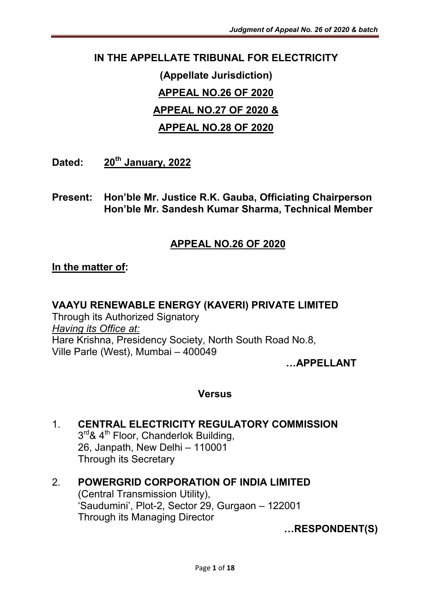## IN THE APPELLATE TRIBUNAL FOR ELECTRICITY

# (Appellate Jurisdiction) APPEAL NO.26 OF 2020 APPEAL NO.27 OF 2020 & APPEAL NO.28 OF 2020

Dated: 20<sup>th</sup> January, 2022

Present: Hon'ble Mr. Justice R.K. Gauba, Officiating Chairperson Hon'ble Mr. Sandesh Kumar Sharma, Technical Member

### APPEAL NO.26 OF 2020

### In the matter of:

#### VAAYU RENEWABLE ENERGY (KAVERI) PRIVATE LIMITED

Through its Authorized Signatory *Having its Office at:* Hare Krishna, Presidency Society, North South Road No.8, Ville Parle (West), Mumbai – 400049

…APPELLANT

#### Versus

#### 1. CENTRAL ELECTRICITY REGULATORY COMMISSION 3rd & 4<sup>th</sup> Floor, Chanderlok Building, 26, Janpath, New Delhi – 110001 Through its Secretary

2. POWERGRID CORPORATION OF INDIA LIMITED (Central Transmission Utility), 'Saudumini', Plot-2, Sector 29, Gurgaon – 122001 Through its Managing Director

…RESPONDENT(S)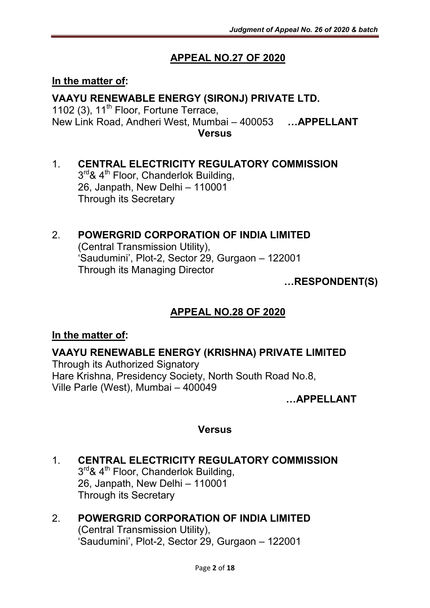## APPEAL NO.27 OF 2020

#### In the matter of:

## VAAYU RENEWABLE ENERGY (SIRONJ) PRIVATE LTD.

1102 (3),  $11<sup>th</sup>$  Floor, Fortune Terrace, New Link Road, Andheri West, Mumbai – 400053 …APPELLANT **Versus** 

#### 1. CENTRAL ELECTRICITY REGULATORY COMMISSION 3rd & 4<sup>th</sup> Floor, Chanderlok Building,

26, Janpath, New Delhi – 110001 Through its Secretary

### 2. POWERGRID CORPORATION OF INDIA LIMITED

(Central Transmission Utility), 'Saudumini', Plot-2, Sector 29, Gurgaon – 122001 Through its Managing Director

…RESPONDENT(S)

### APPEAL NO.28 OF 2020

#### In the matter of:

#### VAAYU RENEWABLE ENERGY (KRISHNA) PRIVATE LIMITED

Through its Authorized Signatory Hare Krishna, Presidency Society, North South Road No.8, Ville Parle (West), Mumbai – 400049

…APPELLANT

#### Versus

1. CENTRAL ELECTRICITY REGULATORY COMMISSION 3<sup>rd</sup>& 4<sup>th</sup> Floor, Chanderlok Building, 26, Janpath, New Delhi – 110001 Through its Secretary

#### 2. POWERGRID CORPORATION OF INDIA LIMITED (Central Transmission Utility), 'Saudumini', Plot-2, Sector 29, Gurgaon – 122001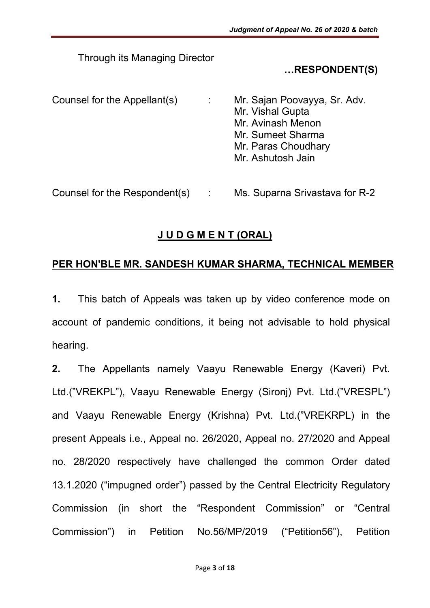Through its Managing Director

### …RESPONDENT(S)

Counsel for the Appellant(s) : Mr. Sajan Poovayya, Sr. Adv. Mr. Vishal Gupta Mr. Avinash Menon Mr. Sumeet Sharma Mr. Paras Choudhary Mr. Ashutosh Jain

Counsel for the Respondent(s) : Ms. Suparna Srivastava for R-2

### J U D G M E N T (ORAL)

#### PER HON'BLE MR. SANDESH KUMAR SHARMA, TECHNICAL MEMBER

1. This batch of Appeals was taken up by video conference mode on account of pandemic conditions, it being not advisable to hold physical hearing.

2. The Appellants namely Vaayu Renewable Energy (Kaveri) Pvt. Ltd.("VREKPL"), Vaayu Renewable Energy (Sironj) Pvt. Ltd.("VRESPL") and Vaayu Renewable Energy (Krishna) Pvt. Ltd.("VREKRPL) in the present Appeals i.e., Appeal no. 26/2020, Appeal no. 27/2020 and Appeal no. 28/2020 respectively have challenged the common Order dated 13.1.2020 ("impugned order") passed by the Central Electricity Regulatory Commission (in short the "Respondent Commission" or "Central Commission") in Petition No.56/MP/2019 ("Petition56"), Petition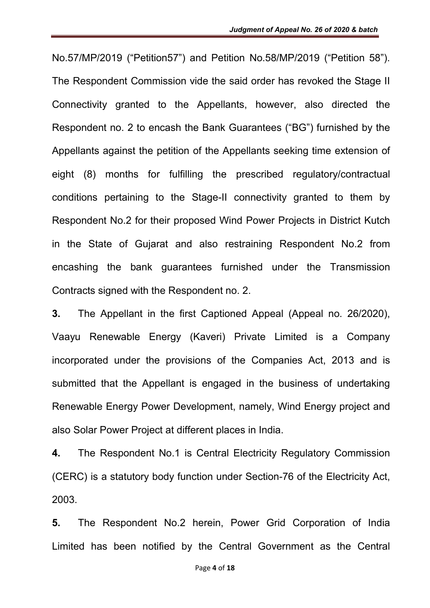No.57/MP/2019 ("Petition57") and Petition No.58/MP/2019 ("Petition 58"). The Respondent Commission vide the said order has revoked the Stage II Connectivity granted to the Appellants, however, also directed the Respondent no. 2 to encash the Bank Guarantees ("BG") furnished by the Appellants against the petition of the Appellants seeking time extension of eight (8) months for fulfilling the prescribed regulatory/contractual conditions pertaining to the Stage-II connectivity granted to them by Respondent No.2 for their proposed Wind Power Projects in District Kutch in the State of Gujarat and also restraining Respondent No.2 from encashing the bank guarantees furnished under the Transmission Contracts signed with the Respondent no. 2.

3. The Appellant in the first Captioned Appeal (Appeal no. 26/2020), Vaayu Renewable Energy (Kaveri) Private Limited is a Company incorporated under the provisions of the Companies Act, 2013 and is submitted that the Appellant is engaged in the business of undertaking Renewable Energy Power Development, namely, Wind Energy project and also Solar Power Project at different places in India.

4. The Respondent No.1 is Central Electricity Regulatory Commission (CERC) is a statutory body function under Section-76 of the Electricity Act, 2003.

5. The Respondent No.2 herein, Power Grid Corporation of India Limited has been notified by the Central Government as the Central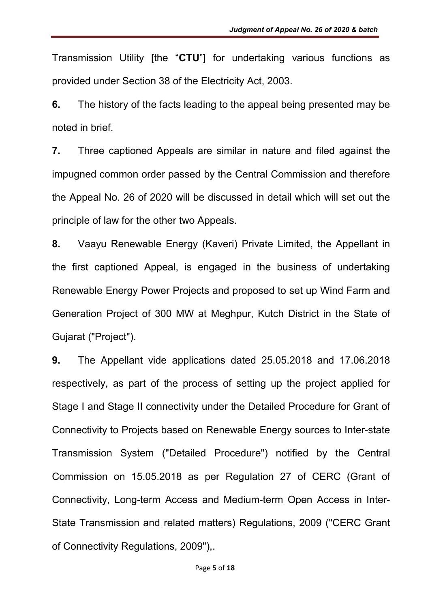Transmission Utility [the "CTU"] for undertaking various functions as provided under Section 38 of the Electricity Act, 2003.

6. The history of the facts leading to the appeal being presented may be noted in brief.

7. Three captioned Appeals are similar in nature and filed against the impugned common order passed by the Central Commission and therefore the Appeal No. 26 of 2020 will be discussed in detail which will set out the principle of law for the other two Appeals.

8. Vaayu Renewable Energy (Kaveri) Private Limited, the Appellant in the first captioned Appeal, is engaged in the business of undertaking Renewable Energy Power Projects and proposed to set up Wind Farm and Generation Project of 300 MW at Meghpur, Kutch District in the State of Gujarat ("Project").

9. The Appellant vide applications dated 25.05.2018 and 17.06.2018 respectively, as part of the process of setting up the project applied for Stage I and Stage II connectivity under the Detailed Procedure for Grant of Connectivity to Projects based on Renewable Energy sources to Inter-state Transmission System ("Detailed Procedure") notified by the Central Commission on 15.05.2018 as per Regulation 27 of CERC (Grant of Connectivity, Long-term Access and Medium-term Open Access in Inter-State Transmission and related matters) Regulations, 2009 ("CERC Grant of Connectivity Regulations, 2009"),.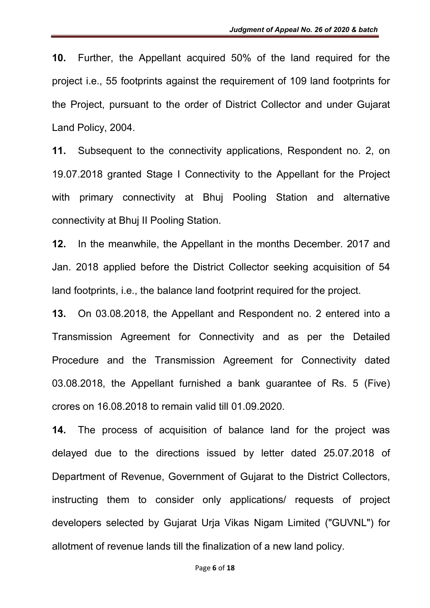10. Further, the Appellant acquired 50% of the land required for the project i.e., 55 footprints against the requirement of 109 land footprints for the Project, pursuant to the order of District Collector and under Gujarat Land Policy, 2004.

11. Subsequent to the connectivity applications, Respondent no. 2, on 19.07.2018 granted Stage I Connectivity to the Appellant for the Project with primary connectivity at Bhuj Pooling Station and alternative connectivity at Bhuj II Pooling Station.

12. In the meanwhile, the Appellant in the months December. 2017 and Jan. 2018 applied before the District Collector seeking acquisition of 54 land footprints, i.e., the balance land footprint required for the project.

13. On 03.08.2018, the Appellant and Respondent no. 2 entered into a Transmission Agreement for Connectivity and as per the Detailed Procedure and the Transmission Agreement for Connectivity dated 03.08.2018, the Appellant furnished a bank guarantee of Rs. 5 (Five) crores on 16.08.2018 to remain valid till 01.09.2020.

14. The process of acquisition of balance land for the project was delayed due to the directions issued by letter dated 25.07.2018 of Department of Revenue, Government of Gujarat to the District Collectors, instructing them to consider only applications/ requests of project developers selected by Gujarat Urja Vikas Nigam Limited ("GUVNL") for allotment of revenue lands till the finalization of a new land policy.

#### Page 6 of 18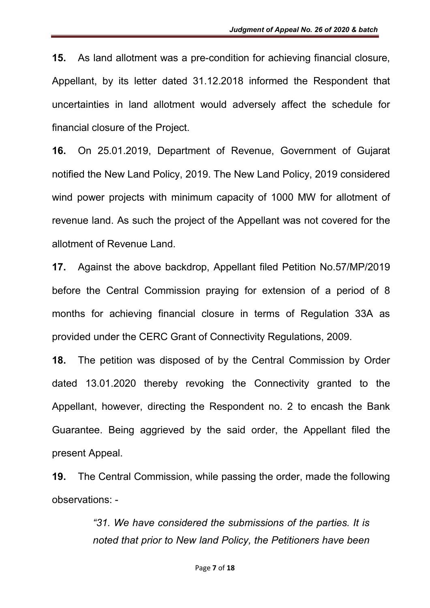15. As land allotment was a pre-condition for achieving financial closure, Appellant, by its letter dated 31.12.2018 informed the Respondent that uncertainties in land allotment would adversely affect the schedule for financial closure of the Project.

16. On 25.01.2019, Department of Revenue, Government of Gujarat notified the New Land Policy, 2019. The New Land Policy, 2019 considered wind power projects with minimum capacity of 1000 MW for allotment of revenue land. As such the project of the Appellant was not covered for the allotment of Revenue Land.

17. Against the above backdrop, Appellant filed Petition No.57/MP/2019 before the Central Commission praying for extension of a period of 8 months for achieving financial closure in terms of Regulation 33A as provided under the CERC Grant of Connectivity Regulations, 2009.

18. The petition was disposed of by the Central Commission by Order dated 13.01.2020 thereby revoking the Connectivity granted to the Appellant, however, directing the Respondent no. 2 to encash the Bank Guarantee. Being aggrieved by the said order, the Appellant filed the present Appeal.

19. The Central Commission, while passing the order, made the following observations: -

> *"31. We have considered the submissions of the parties. It is noted that prior to New land Policy, the Petitioners have been*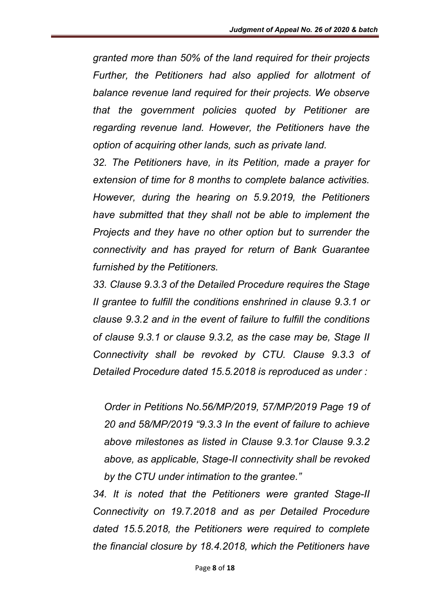*granted more than 50% of the land required for their projects Further, the Petitioners had also applied for allotment of balance revenue land required for their projects. We observe that the government policies quoted by Petitioner are regarding revenue land. However, the Petitioners have the option of acquiring other lands, such as private land.* 

*32. The Petitioners have, in its Petition, made a prayer for extension of time for 8 months to complete balance activities. However, during the hearing on 5.9.2019, the Petitioners have submitted that they shall not be able to implement the Projects and they have no other option but to surrender the connectivity and has prayed for return of Bank Guarantee furnished by the Petitioners.* 

*33. Clause 9.3.3 of the Detailed Procedure requires the Stage II grantee to fulfill the conditions enshrined in clause 9.3.1 or clause 9.3.2 and in the event of failure to fulfill the conditions of clause 9.3.1 or clause 9.3.2, as the case may be, Stage II Connectivity shall be revoked by CTU. Clause 9.3.3 of Detailed Procedure dated 15.5.2018 is reproduced as under :* 

*Order in Petitions No.56/MP/2019, 57/MP/2019 Page 19 of 20 and 58/MP/2019 "9.3.3 In the event of failure to achieve above milestones as listed in Clause 9.3.1or Clause 9.3.2 above, as applicable, Stage-II connectivity shall be revoked by the CTU under intimation to the grantee."* 

*34. It is noted that the Petitioners were granted Stage-II Connectivity on 19.7.2018 and as per Detailed Procedure dated 15.5.2018, the Petitioners were required to complete the financial closure by 18.4.2018, which the Petitioners have*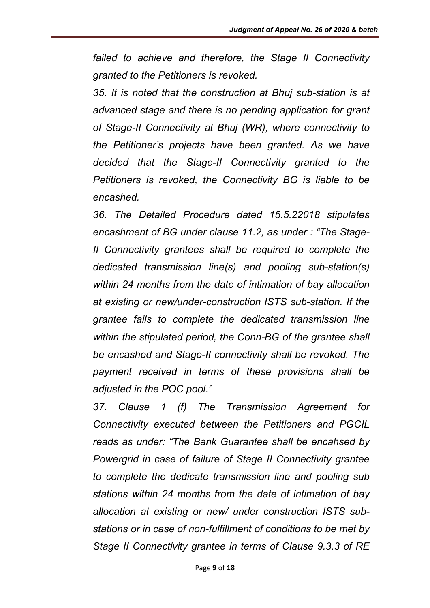*failed to achieve and therefore, the Stage II Connectivity granted to the Petitioners is revoked.* 

*35. It is noted that the construction at Bhuj sub-station is at advanced stage and there is no pending application for grant of Stage-II Connectivity at Bhuj (WR), where connectivity to the Petitioner's projects have been granted. As we have decided that the Stage-II Connectivity granted to the Petitioners is revoked, the Connectivity BG is liable to be encashed.* 

*36. The Detailed Procedure dated 15.5.22018 stipulates encashment of BG under clause 11.2, as under : "The Stage-II Connectivity grantees shall be required to complete the dedicated transmission line(s) and pooling sub-station(s) within 24 months from the date of intimation of bay allocation at existing or new/under-construction ISTS sub-station. If the grantee fails to complete the dedicated transmission line within the stipulated period, the Conn-BG of the grantee shall be encashed and Stage-II connectivity shall be revoked. The payment received in terms of these provisions shall be adjusted in the POC pool."* 

*37. Clause 1 (f) The Transmission Agreement for Connectivity executed between the Petitioners and PGCIL reads as under: "The Bank Guarantee shall be encahsed by Powergrid in case of failure of Stage II Connectivity grantee to complete the dedicate transmission line and pooling sub stations within 24 months from the date of intimation of bay allocation at existing or new/ under construction ISTS substations or in case of non-fulfillment of conditions to be met by Stage II Connectivity grantee in terms of Clause 9.3.3 of RE*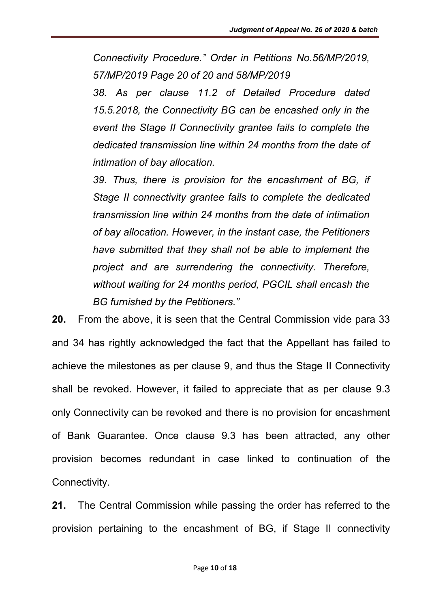*Connectivity Procedure." Order in Petitions No.56/MP/2019, 57/MP/2019 Page 20 of 20 and 58/MP/2019* 

*38. As per clause 11.2 of Detailed Procedure dated 15.5.2018, the Connectivity BG can be encashed only in the event the Stage II Connectivity grantee fails to complete the dedicated transmission line within 24 months from the date of intimation of bay allocation.* 

*39. Thus, there is provision for the encashment of BG, if Stage II connectivity grantee fails to complete the dedicated transmission line within 24 months from the date of intimation of bay allocation. However, in the instant case, the Petitioners have submitted that they shall not be able to implement the project and are surrendering the connectivity. Therefore, without waiting for 24 months period, PGCIL shall encash the BG furnished by the Petitioners."*

20. From the above, it is seen that the Central Commission vide para 33 and 34 has rightly acknowledged the fact that the Appellant has failed to achieve the milestones as per clause 9, and thus the Stage II Connectivity shall be revoked. However, it failed to appreciate that as per clause 9.3 only Connectivity can be revoked and there is no provision for encashment of Bank Guarantee. Once clause 9.3 has been attracted, any other provision becomes redundant in case linked to continuation of the Connectivity.

21. The Central Commission while passing the order has referred to the provision pertaining to the encashment of BG, if Stage II connectivity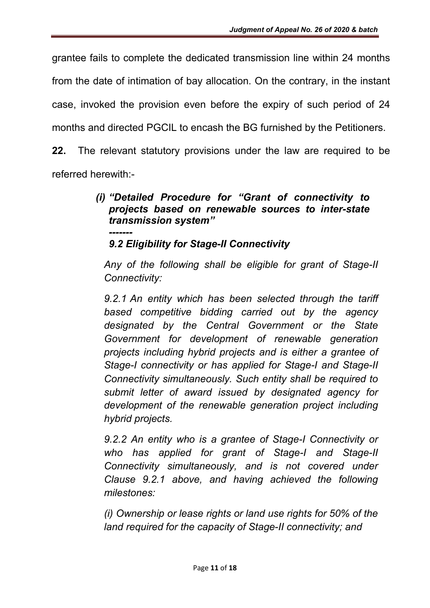grantee fails to complete the dedicated transmission line within 24 months

from the date of intimation of bay allocation. On the contrary, in the instant

case, invoked the provision even before the expiry of such period of 24

months and directed PGCIL to encash the BG furnished by the Petitioners.

22. The relevant statutory provisions under the law are required to be referred herewith:-

#### *(i) "Detailed Procedure for "Grant of connectivity to projects based on renewable sources to inter-state transmission system" -------*

*9.2 Eligibility for Stage-II Connectivity*

*Any of the following shall be eligible for grant of Stage-II Connectivity:* 

*9.2.1 An entity which has been selected through the tariff based competitive bidding carried out by the agency designated by the Central Government or the State Government for development of renewable generation projects including hybrid projects and is either a grantee of Stage-I connectivity or has applied for Stage-I and Stage-II Connectivity simultaneously. Such entity shall be required to submit letter of award issued by designated agency for development of the renewable generation project including hybrid projects.*

*9.2.2 An entity who is a grantee of Stage-I Connectivity or who has applied for grant of Stage-I and Stage-II Connectivity simultaneously, and is not covered under Clause 9.2.1 above, and having achieved the following milestones:* 

*(i) Ownership or lease rights or land use rights for 50% of the land required for the capacity of Stage-II connectivity; and*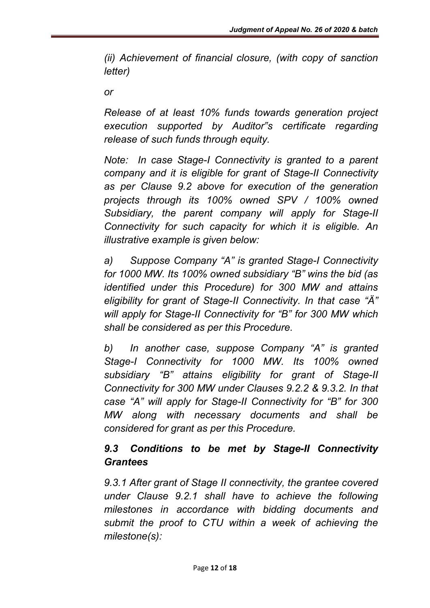*(ii) Achievement of financial closure, (with copy of sanction letter)* 

*or* 

*Release of at least 10% funds towards generation project execution supported by Auditor"s certificate regarding release of such funds through equity.*

*Note: In case Stage-I Connectivity is granted to a parent company and it is eligible for grant of Stage-II Connectivity as per Clause 9.2 above for execution of the generation projects through its 100% owned SPV / 100% owned Subsidiary, the parent company will apply for Stage-II Connectivity for such capacity for which it is eligible. An illustrative example is given below:* 

*a) Suppose Company "A" is granted Stage-I Connectivity for 1000 MW. Its 100% owned subsidiary "B" wins the bid (as identified under this Procedure) for 300 MW and attains eligibility for grant of Stage-II Connectivity. In that case "Ä" will apply for Stage-II Connectivity for "B" for 300 MW which shall be considered as per this Procedure.* 

*b) In another case, suppose Company "A" is granted Stage-I Connectivity for 1000 MW. Its 100% owned subsidiary "B" attains eligibility for grant of Stage-II Connectivity for 300 MW under Clauses 9.2.2 & 9.3.2. In that case "A" will apply for Stage-II Connectivity for "B" for 300 MW along with necessary documents and shall be considered for grant as per this Procedure.*

### *9.3 Conditions to be met by Stage-II Connectivity Grantees*

*9.3.1 After grant of Stage II connectivity, the grantee covered under Clause 9.2.1 shall have to achieve the following milestones in accordance with bidding documents and submit the proof to CTU within a week of achieving the milestone(s):*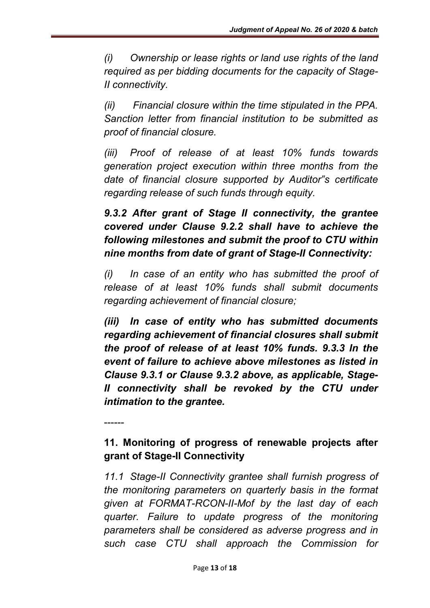*(i) Ownership or lease rights or land use rights of the land required as per bidding documents for the capacity of Stage-II connectivity.* 

*(ii) Financial closure within the time stipulated in the PPA. Sanction letter from financial institution to be submitted as proof of financial closure.* 

*(iii) Proof of release of at least 10% funds towards generation project execution within three months from the date of financial closure supported by Auditor"s certificate regarding release of such funds through equity.* 

*9.3.2 After grant of Stage II connectivity, the grantee covered under Clause 9.2.2 shall have to achieve the following milestones and submit the proof to CTU within nine months from date of grant of Stage-II Connectivity:* 

*(i) In case of an entity who has submitted the proof of release of at least 10% funds shall submit documents regarding achievement of financial closure;*

*(iii) In case of entity who has submitted documents regarding achievement of financial closures shall submit the proof of release of at least 10% funds. 9.3.3 In the event of failure to achieve above milestones as listed in Clause 9.3.1 or Clause 9.3.2 above, as applicable, Stage-II connectivity shall be revoked by the CTU under intimation to the grantee.*

11. Monitoring of progress of renewable projects after grant of Stage-II Connectivity

------

*11.1 Stage-II Connectivity grantee shall furnish progress of the monitoring parameters on quarterly basis in the format given at FORMAT-RCON-II-Mof by the last day of each quarter. Failure to update progress of the monitoring parameters shall be considered as adverse progress and in such case CTU shall approach the Commission for*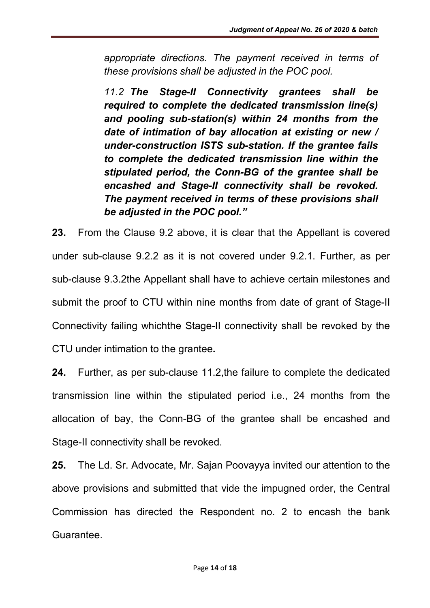*appropriate directions. The payment received in terms of these provisions shall be adjusted in the POC pool.* 

*11.2 The Stage-II Connectivity grantees shall be required to complete the dedicated transmission line(s) and pooling sub-station(s) within 24 months from the date of intimation of bay allocation at existing or new / under-construction ISTS sub-station. If the grantee fails to complete the dedicated transmission line within the stipulated period, the Conn-BG of the grantee shall be encashed and Stage-II connectivity shall be revoked. The payment received in terms of these provisions shall be adjusted in the POC pool."*

23. From the Clause 9.2 above, it is clear that the Appellant is covered under sub-clause 9.2.2 as it is not covered under 9.2.1. Further, as per sub-clause 9.3.2the Appellant shall have to achieve certain milestones and submit the proof to CTU within nine months from date of grant of Stage-II Connectivity failing whichthe Stage-II connectivity shall be revoked by the CTU under intimation to the grantee*.*

24. Further, as per sub-clause 11.2,the failure to complete the dedicated transmission line within the stipulated period i.e., 24 months from the allocation of bay, the Conn-BG of the grantee shall be encashed and Stage-II connectivity shall be revoked.

25. The Ld. Sr. Advocate, Mr. Sajan Poovayya invited our attention to the above provisions and submitted that vide the impugned order, the Central Commission has directed the Respondent no. 2 to encash the bank Guarantee.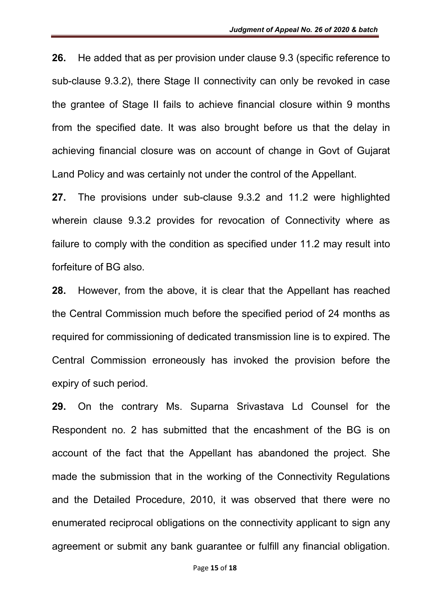26. He added that as per provision under clause 9.3 (specific reference to sub-clause 9.3.2), there Stage II connectivity can only be revoked in case the grantee of Stage II fails to achieve financial closure within 9 months from the specified date. It was also brought before us that the delay in achieving financial closure was on account of change in Govt of Gujarat Land Policy and was certainly not under the control of the Appellant.

27. The provisions under sub-clause 9.3.2 and 11.2 were highlighted wherein clause 9.3.2 provides for revocation of Connectivity where as failure to comply with the condition as specified under 11.2 may result into forfeiture of BG also.

28. However, from the above, it is clear that the Appellant has reached the Central Commission much before the specified period of 24 months as required for commissioning of dedicated transmission line is to expired. The Central Commission erroneously has invoked the provision before the expiry of such period.

29. On the contrary Ms. Suparna Srivastava Ld Counsel for the Respondent no. 2 has submitted that the encashment of the BG is on account of the fact that the Appellant has abandoned the project. She made the submission that in the working of the Connectivity Regulations and the Detailed Procedure, 2010, it was observed that there were no enumerated reciprocal obligations on the connectivity applicant to sign any agreement or submit any bank guarantee or fulfill any financial obligation.

Page 15 of 18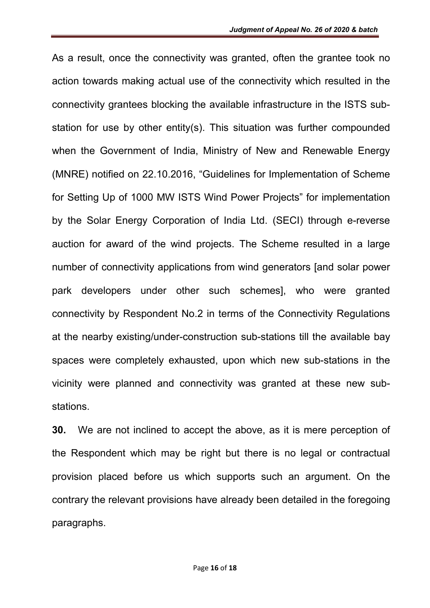As a result, once the connectivity was granted, often the grantee took no action towards making actual use of the connectivity which resulted in the connectivity grantees blocking the available infrastructure in the ISTS substation for use by other entity(s). This situation was further compounded when the Government of India, Ministry of New and Renewable Energy (MNRE) notified on 22.10.2016, "Guidelines for Implementation of Scheme for Setting Up of 1000 MW ISTS Wind Power Projects" for implementation by the Solar Energy Corporation of India Ltd. (SECI) through e-reverse auction for award of the wind projects. The Scheme resulted in a large number of connectivity applications from wind generators [and solar power park developers under other such schemes], who were granted connectivity by Respondent No.2 in terms of the Connectivity Regulations at the nearby existing/under-construction sub-stations till the available bay spaces were completely exhausted, upon which new sub-stations in the vicinity were planned and connectivity was granted at these new substations.

30. We are not inclined to accept the above, as it is mere perception of the Respondent which may be right but there is no legal or contractual provision placed before us which supports such an argument. On the contrary the relevant provisions have already been detailed in the foregoing paragraphs.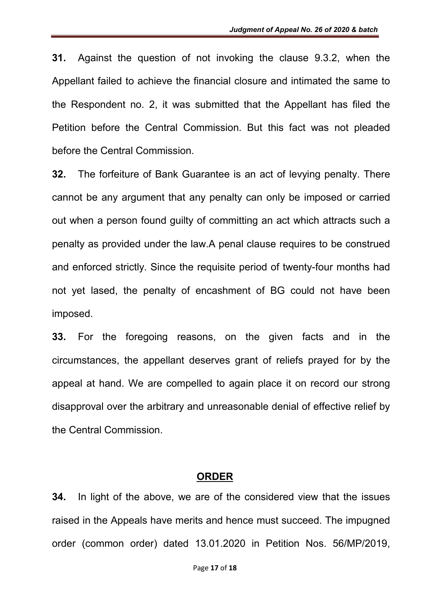31. Against the question of not invoking the clause 9.3.2, when the Appellant failed to achieve the financial closure and intimated the same to the Respondent no. 2, it was submitted that the Appellant has filed the Petition before the Central Commission. But this fact was not pleaded before the Central Commission.

32. The forfeiture of Bank Guarantee is an act of levying penalty. There cannot be any argument that any penalty can only be imposed or carried out when a person found guilty of committing an act which attracts such a penalty as provided under the law.A penal clause requires to be construed and enforced strictly. Since the requisite period of twenty-four months had not yet lased, the penalty of encashment of BG could not have been imposed.

33. For the foregoing reasons, on the given facts and in the circumstances, the appellant deserves grant of reliefs prayed for by the appeal at hand. We are compelled to again place it on record our strong disapproval over the arbitrary and unreasonable denial of effective relief by the Central Commission.

#### ORDER

34. In light of the above, we are of the considered view that the issues raised in the Appeals have merits and hence must succeed. The impugned order (common order) dated 13.01.2020 in Petition Nos. 56/MP/2019,